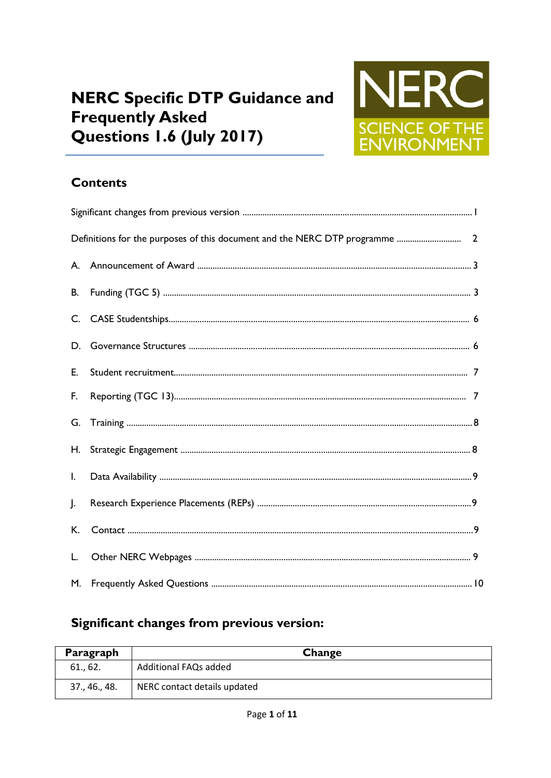# **NERC Specific DTP Guidance and Frequently Asked** Questions 1.6 (July 2017)



### **Contents**

| В.             |  |  |  |
|----------------|--|--|--|
|                |  |  |  |
| D.             |  |  |  |
| E.             |  |  |  |
| F.             |  |  |  |
| G.             |  |  |  |
| Η.             |  |  |  |
| $\mathsf{I}$ . |  |  |  |
| $\cdot$        |  |  |  |
| К.             |  |  |  |
| L.             |  |  |  |
| М.             |  |  |  |

## Significant changes from previous version:

| Paragraph     | Change                       |
|---------------|------------------------------|
| 61., 62.      | Additional FAQs added        |
| 37., 46., 48. | NERC contact details updated |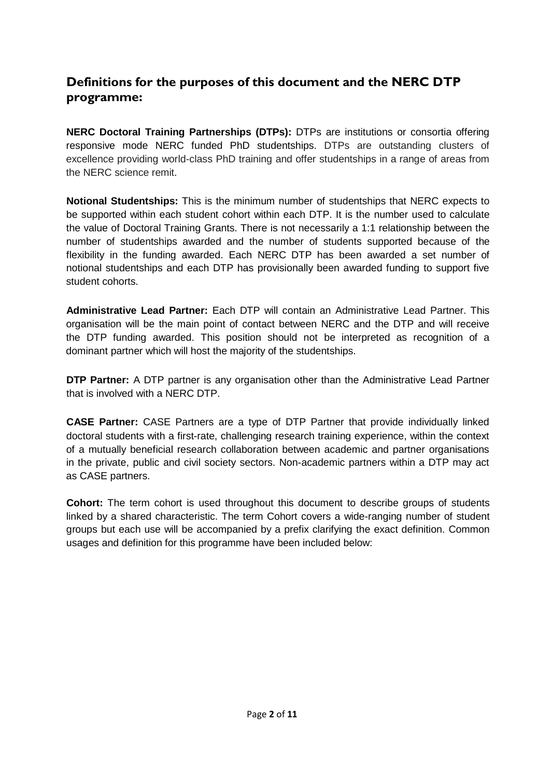#### **Definitions for the purposes of this document and the NERC DTP programme:**

**NERC Doctoral Training Partnerships (DTPs):** DTPs are institutions or consortia offering responsive mode NERC funded PhD studentships. DTPs are outstanding clusters of excellence providing world-class PhD training and offer studentships in a range of areas from the NERC science remit.

**Notional Studentships:** This is the minimum number of studentships that NERC expects to be supported within each student cohort within each DTP. It is the number used to calculate the value of Doctoral Training Grants. There is not necessarily a 1:1 relationship between the number of studentships awarded and the number of students supported because of the flexibility in the funding awarded. Each NERC DTP has been awarded a set number of notional studentships and each DTP has provisionally been awarded funding to support five student cohorts.

**Administrative Lead Partner:** Each DTP will contain an Administrative Lead Partner. This organisation will be the main point of contact between NERC and the DTP and will receive the DTP funding awarded. This position should not be interpreted as recognition of a dominant partner which will host the majority of the studentships.

**DTP Partner:** A DTP partner is any organisation other than the Administrative Lead Partner that is involved with a NERC DTP.

**CASE Partner:** CASE Partners are a type of DTP Partner that provide individually linked doctoral students with a first-rate, challenging research training experience, within the context of a mutually beneficial research collaboration between academic and partner organisations in the private, public and civil society sectors. Non-academic partners within a DTP may act as CASE partners.

**Cohort:** The term cohort is used throughout this document to describe groups of students linked by a shared characteristic. The term Cohort covers a wide-ranging number of student groups but each use will be accompanied by a prefix clarifying the exact definition. Common usages and definition for this programme have been included below: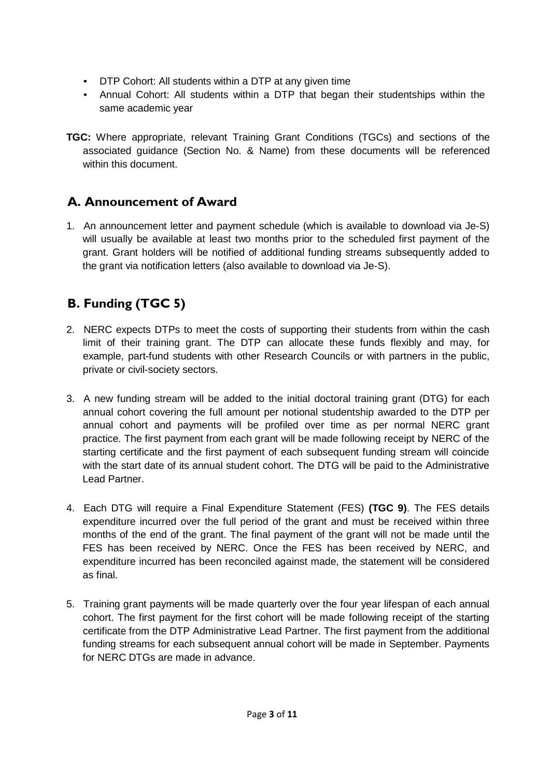- DTP Cohort: All students within a DTP at any given time
- Annual Cohort: All students within a DTP that began their studentships within the same academic year
- **TGC:** Where appropriate, relevant Training Grant Conditions (TGCs) and sections of the associated guidance (Section No. & Name) from these documents will be referenced within this document.

#### **A. Announcement of Award**

1. An announcement letter and payment schedule (which is available to download via Je-S) will usually be available at least two months prior to the scheduled first payment of the grant. Grant holders will be notified of additional funding streams subsequently added to the grant via notification letters (also available to download via Je-S).

### **B. Funding (TGC 5)**

- 2. NERC expects DTPs to meet the costs of supporting their students from within the cash limit of their training grant. The DTP can allocate these funds flexibly and may, for example, part-fund students with other Research Councils or with partners in the public, private or civil-society sectors.
- 3. A new funding stream will be added to the initial doctoral training grant (DTG) for each annual cohort covering the full amount per notional studentship awarded to the DTP per annual cohort and payments will be profiled over time as per normal NERC grant practice. The first payment from each grant will be made following receipt by NERC of the starting certificate and the first payment of each subsequent funding stream will coincide with the start date of its annual student cohort. The DTG will be paid to the Administrative Lead Partner.
- 4. Each DTG will require a Final Expenditure Statement (FES) **(TGC 9)**. The FES details expenditure incurred over the full period of the grant and must be received within three months of the end of the grant. The final payment of the grant will not be made until the FES has been received by NERC. Once the FES has been received by NERC, and expenditure incurred has been reconciled against made, the statement will be considered as final.
- 5. Training grant payments will be made quarterly over the four year lifespan of each annual cohort. The first payment for the first cohort will be made following receipt of the starting certificate from the DTP Administrative Lead Partner. The first payment from the additional funding streams for each subsequent annual cohort will be made in September. Payments for NERC DTGs are made in advance.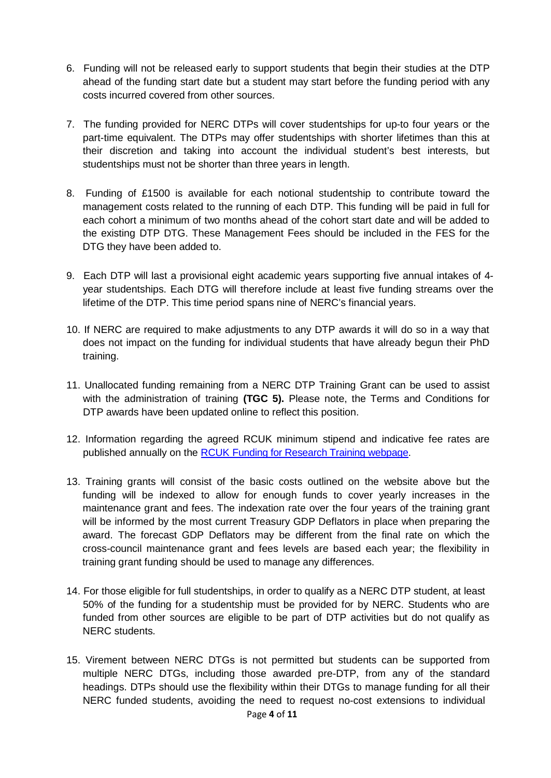- 6. Funding will not be released early to support students that begin their studies at the DTP ahead of the funding start date but a student may start before the funding period with any costs incurred covered from other sources.
- 7. The funding provided for NERC DTPs will cover studentships for up-to four years or the part-time equivalent. The DTPs may offer studentships with shorter lifetimes than this at their discretion and taking into account the individual student's best interests, but studentships must not be shorter than three years in length.
- 8. Funding of £1500 is available for each notional studentship to contribute toward the management costs related to the running of each DTP. This funding will be paid in full for each cohort a minimum of two months ahead of the cohort start date and will be added to the existing DTP DTG. These Management Fees should be included in the FES for the DTG they have been added to.
- 9. Each DTP will last a provisional eight academic years supporting five annual intakes of 4 year studentships. Each DTG will therefore include at least five funding streams over the lifetime of the DTP. This time period spans nine of NERC's financial years.
- 10. If NERC are required to make adjustments to any DTP awards it will do so in a way that does not impact on the funding for individual students that have already begun their PhD training.
- 11. Unallocated funding remaining from a NERC DTP Training Grant can be used to assist with the administration of training **(TGC 5).** Please note, the Terms and Conditions for DTP awards have been updated online to reflect this position.
- 12. Information regarding the agreed RCUK minimum stipend and indicative fee rates are published annually on the RCUK [Funding for Research Training webpage.](http://www.rcuk.ac.uk/skills/training/)
- 13. Training grants will consist of the basic costs outlined on the website above but the funding will be indexed to allow for enough funds to cover yearly increases in the maintenance grant and fees. The indexation rate over the four years of the training grant will be informed by the most current Treasury GDP Deflators in place when preparing the award. The forecast GDP Deflators may be different from the final rate on which the cross-council maintenance grant and fees levels are based each year; the flexibility in training grant funding should be used to manage any differences.
- 14. For those eligible for full studentships, in order to qualify as a NERC DTP student, at least 50% of the funding for a studentship must be provided for by NERC. Students who are funded from other sources are eligible to be part of DTP activities but do not qualify as NERC students.
- 15. Virement between NERC DTGs is not permitted but students can be supported from multiple NERC DTGs, including those awarded pre-DTP, from any of the standard headings. DTPs should use the flexibility within their DTGs to manage funding for all their NERC funded students, avoiding the need to request no-cost extensions to individual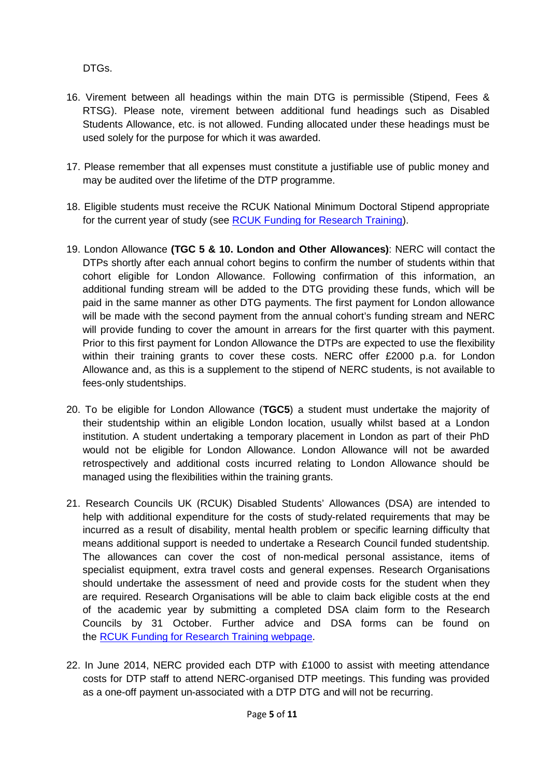DTGs.

- 16. Virement between all headings within the main DTG is permissible (Stipend, Fees & RTSG). Please note, virement between additional fund headings such as Disabled Students Allowance, etc. is not allowed. Funding allocated under these headings must be used solely for the purpose for which it was awarded.
- 17. Please remember that all expenses must constitute a justifiable use of public money and may be audited over the lifetime of the DTP programme.
- 18. Eligible students must receive the RCUK National Minimum Doctoral Stipend appropriate for the current year of study (see [RCUK Funding for Research Training\)](http://www.rcuk.ac.uk/skills/training/).
- 19. London Allowance **(TGC 5 & 10. London and Other Allowances)**: NERC will contact the DTPs shortly after each annual cohort begins to confirm the number of students within that cohort eligible for London Allowance. Following confirmation of this information, an additional funding stream will be added to the DTG providing these funds, which will be paid in the same manner as other DTG payments. The first payment for London allowance will be made with the second payment from the annual cohort's funding stream and NERC will provide funding to cover the amount in arrears for the first quarter with this payment. Prior to this first payment for London Allowance the DTPs are expected to use the flexibility within their training grants to cover these costs. NERC offer £2000 p.a. for London Allowance and, as this is a supplement to the stipend of NERC students, is not available to fees-only studentships.
- 20. To be eligible for London Allowance (**TGC5**) a student must undertake the majority of their studentship within an eligible London location, usually whilst based at a London institution. A student undertaking a temporary placement in London as part of their PhD would not be eligible for London Allowance. London Allowance will not be awarded retrospectively and additional costs incurred relating to London Allowance should be managed using the flexibilities within the training grants.
- 21. Research Councils UK (RCUK) Disabled Students' Allowances (DSA) are intended to help with additional expenditure for the costs of study-related requirements that may be incurred as a result of disability, mental health problem or specific learning difficulty that means additional support is needed to undertake a Research Council funded studentship. The allowances can cover the cost of non-medical personal assistance, items of specialist equipment, extra travel costs and general expenses. Research Organisations should undertake the assessment of need and provide costs for the student when they are required. Research Organisations will be able to claim back eligible costs at the end of the academic year by submitting a completed DSA claim form to the Research Councils by 31 October. Further advice and DSA forms can be found on the [RCUK Funding for Research Training webpage.](http://www.rcuk.ac.uk/skills/training/)
- 22. In June 2014, NERC provided each DTP with £1000 to assist with meeting attendance costs for DTP staff to attend NERC-organised DTP meetings. This funding was provided as a one-off payment un-associated with a DTP DTG and will not be recurring.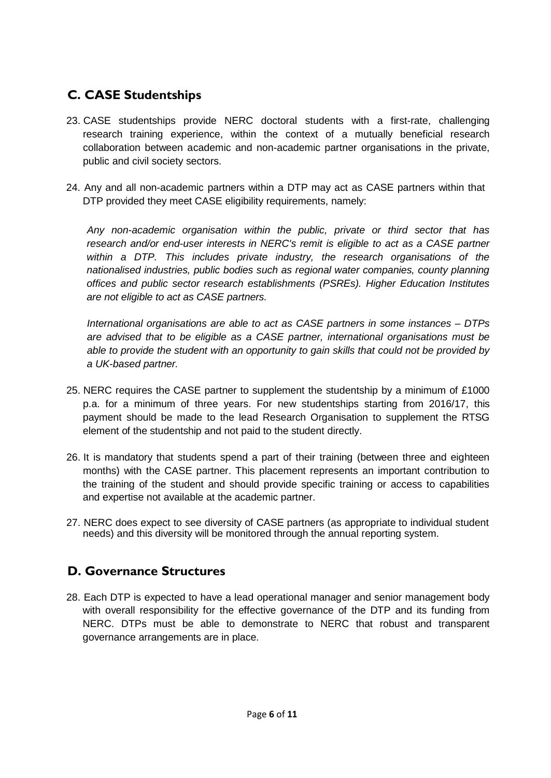### **C. CASE Studentships**

- 23. CASE studentships provide NERC doctoral students with a first-rate, challenging research training experience, within the context of a mutually beneficial research collaboration between academic and non-academic partner organisations in the private, public and civil society sectors.
- 24. Any and all non-academic partners within a DTP may act as CASE partners within that DTP provided they meet CASE eligibility requirements, namely:

*Any non-academic organisation within the public, private or third sector that has research and/or end-user interests in NERC's remit is eligible to act as a CASE partner within a DTP. This includes private industry, the research organisations of the nationalised industries, public bodies such as regional water companies, county planning offices and public sector research establishments (PSREs). Higher Education Institutes are not eligible to act as CASE partners.*

*International organisations are able to act as CASE partners in some instances – DTPs are advised that to be eligible as a CASE partner, international organisations must be able to provide the student with an opportunity to gain skills that could not be provided by a UK-based partner.*

- 25. NERC requires the CASE partner to supplement the studentship by a minimum of £1000 p.a. for a minimum of three years. For new studentships starting from 2016/17, this payment should be made to the lead Research Organisation to supplement the RTSG element of the studentship and not paid to the student directly.
- 26. It is mandatory that students spend a part of their training (between three and eighteen months) with the CASE partner. This placement represents an important contribution to the training of the student and should provide specific training or access to capabilities and expertise not available at the academic partner.
- 27. NERC does expect to see diversity of CASE partners (as appropriate to individual student needs) and this diversity will be monitored through the annual reporting system.

### **D. Governance Structures**

28. Each DTP is expected to have a lead operational manager and senior management body with overall responsibility for the effective governance of the DTP and its funding from NERC. DTPs must be able to demonstrate to NERC that robust and transparent governance arrangements are in place.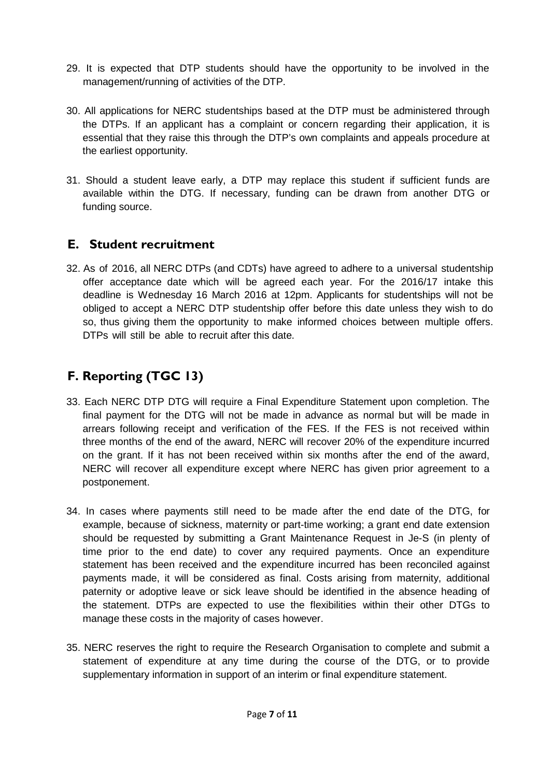- 29. It is expected that DTP students should have the opportunity to be involved in the management/running of activities of the DTP.
- 30. All applications for NERC studentships based at the DTP must be administered through the DTPs. If an applicant has a complaint or concern regarding their application, it is essential that they raise this through the DTP's own complaints and appeals procedure at the earliest opportunity.
- 31. Should a student leave early, a DTP may replace this student if sufficient funds are available within the DTG. If necessary, funding can be drawn from another DTG or funding source.

#### **E. Student recruitment**

32. As of 2016, all NERC DTPs (and CDTs) have agreed to adhere to a universal studentship offer acceptance date which will be agreed each year. For the 2016/17 intake this deadline is Wednesday 16 March 2016 at 12pm. Applicants for studentships will not be obliged to accept a NERC DTP studentship offer before this date unless they wish to do so, thus giving them the opportunity to make informed choices between multiple offers. DTPs will still be able to recruit after this date.

## **F. Reporting (TGC 13)**

- 33. Each NERC DTP DTG will require a Final Expenditure Statement upon completion. The final payment for the DTG will not be made in advance as normal but will be made in arrears following receipt and verification of the FES. If the FES is not received within three months of the end of the award, NERC will recover 20% of the expenditure incurred on the grant. If it has not been received within six months after the end of the award, NERC will recover all expenditure except where NERC has given prior agreement to a postponement.
- 34. In cases where payments still need to be made after the end date of the DTG, for example, because of sickness, maternity or part-time working; a grant end date extension should be requested by submitting a Grant Maintenance Request in Je-S (in plenty of time prior to the end date) to cover any required payments. Once an expenditure statement has been received and the expenditure incurred has been reconciled against payments made, it will be considered as final. Costs arising from maternity, additional paternity or adoptive leave or sick leave should be identified in the absence heading of the statement. DTPs are expected to use the flexibilities within their other DTGs to manage these costs in the majority of cases however.
- 35. NERC reserves the right to require the Research Organisation to complete and submit a statement of expenditure at any time during the course of the DTG, or to provide supplementary information in support of an interim or final expenditure statement.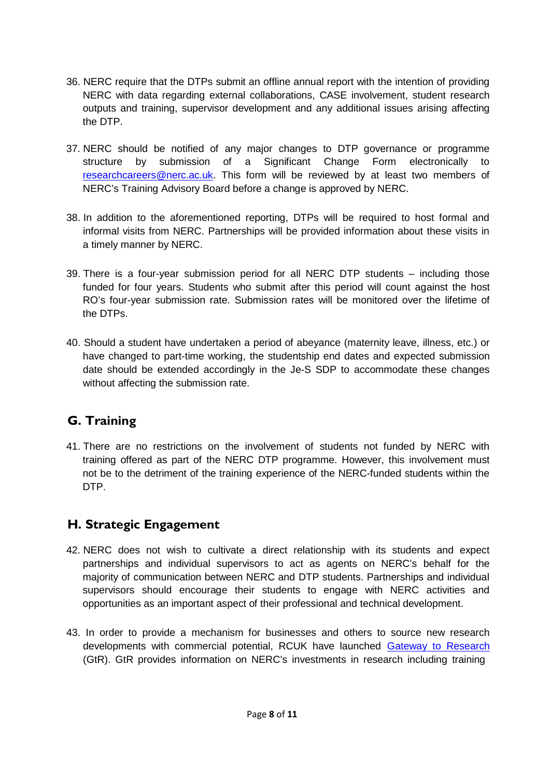- 36. NERC require that the DTPs submit an offline annual report with the intention of providing NERC with data regarding external collaborations, CASE involvement, student research outputs and training, supervisor development and any additional issues arising affecting the DTP.
- 37. NERC should be notified of any major changes to DTP governance or programme structure by submission of a Significant Change Form electronically to [researchcareers@nerc.ac.uk.](mailto:researchcareers@nerc.ac.uk) This form will be reviewed by at least two members of NERC's Training Advisory Board before a change is approved by NERC.
- 38. In addition to the aforementioned reporting, DTPs will be required to host formal and informal visits from NERC. Partnerships will be provided information about these visits in a timely manner by NERC.
- 39. There is a four-year submission period for all NERC DTP students including those funded for four years. Students who submit after this period will count against the host RO's four-year submission rate. Submission rates will be monitored over the lifetime of the DTPs.
- 40. Should a student have undertaken a period of abeyance (maternity leave, illness, etc.) or have changed to part-time working, the studentship end dates and expected submission date should be extended accordingly in the Je-S SDP to accommodate these changes without affecting the submission rate.

### **G. Training**

41. There are no restrictions on the involvement of students not funded by NERC with training offered as part of the NERC DTP programme. However, this involvement must not be to the detriment of the training experience of the NERC-funded students within the DTP.

### **H. Strategic Engagement**

- 42. NERC does not wish to cultivate a direct relationship with its students and expect partnerships and individual supervisors to act as agents on NERC's behalf for the majority of communication between NERC and DTP students. Partnerships and individual supervisors should encourage their students to engage with NERC activities and opportunities as an important aspect of their professional and technical development.
- 43. In order to provide a mechanism for businesses and others to source new research developments with commercial potential, RCUK have launched [Gateway to](http://gtr.rcuk.ac.uk/) Research (GtR). GtR provides information on NERC's investments in research including training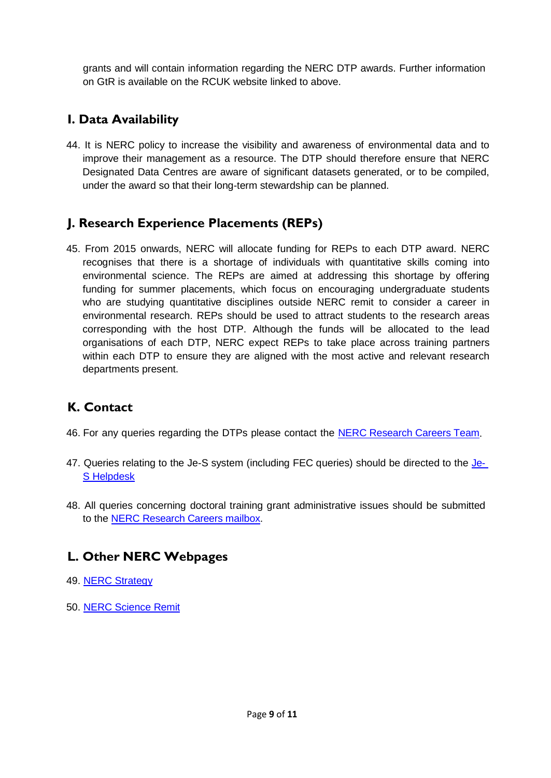grants and will contain information regarding the NERC DTP awards. Further information on GtR is available on the RCUK website linked to above.

### **I. Data Availability**

44. It is NERC policy to increase the visibility and awareness of environmental data and to improve their management as a resource. The DTP should therefore ensure that NERC Designated Data Centres are aware of significant datasets generated, or to be compiled, under the award so that their long-term stewardship can be planned.

### **J. Research Experience Placements (REPs)**

45. From 2015 onwards, NERC will allocate funding for REPs to each DTP award. NERC recognises that there is a shortage of individuals with quantitative skills coming into environmental science. The REPs are aimed at addressing this shortage by offering funding for summer placements, which focus on encouraging undergraduate students who are studying quantitative disciplines outside NERC remit to consider a career in environmental research. REPs should be used to attract students to the research areas corresponding with the host DTP. Although the funds will be allocated to the lead organisations of each DTP, NERC expect REPs to take place across training partners within each DTP to ensure they are aligned with the most active and relevant research departments present.

### **K. Contact**

- 46. For any queries regarding the DTPs please contact the NERC [Research Careers Team.](mailto:researchcareers@nerc.ac.uk)
- 47. Queries relating to the Je-S system (including FEC queries) should be directed to the [Je-](https://je-s.rcuk.ac.uk/Handbook/Index.htm)[S Helpdesk](https://je-s.rcuk.ac.uk/Handbook/Index.htm)
- 48. All queries concerning doctoral training grant administrative issues should be submitted to the [NERC Research Careers](mailto:researchcareers@nerc.ac.uk) mailbox.

### **L. Other NERC Webpages**

- 49. [NERC Strategy](http://www.nerc.ac.uk/latest/publications/strategycorporate/)
- 50. [NERC Science](http://www.nerc.ac.uk/research/portfolio/remit/) Remit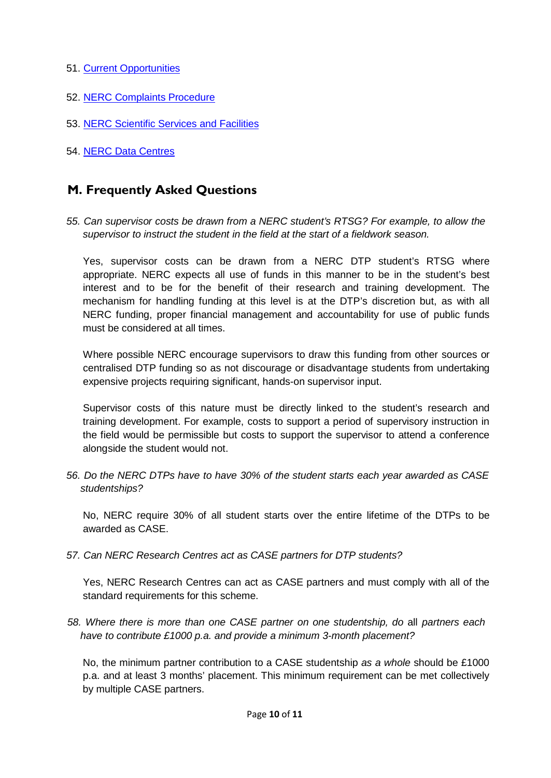- 51. Current [Opportunities](http://www.nerc.ac.uk/funding/application/currentopportunities/)
- 52. [NERC Complaints](http://www.nerc.ac.uk/about/enquiries/complaints/) Procedure
- 53. [NERC Scientific](http://www.nerc.ac.uk/research/sites/facilities/list/) Services and Facilities
- 54. [NERC Data](http://www.nerc.ac.uk/research/sites/data/) Centres

#### **M. Frequently Asked Questions**

*55. Can supervisor costs be drawn from a NERC student's RTSG? For example, to allow the supervisor to instruct the student in the field at the start of a fieldwork season.*

Yes, supervisor costs can be drawn from a NERC DTP student's RTSG where appropriate. NERC expects all use of funds in this manner to be in the student's best interest and to be for the benefit of their research and training development. The mechanism for handling funding at this level is at the DTP's discretion but, as with all NERC funding, proper financial management and accountability for use of public funds must be considered at all times.

Where possible NERC encourage supervisors to draw this funding from other sources or centralised DTP funding so as not discourage or disadvantage students from undertaking expensive projects requiring significant, hands-on supervisor input.

Supervisor costs of this nature must be directly linked to the student's research and training development. For example, costs to support a period of supervisory instruction in the field would be permissible but costs to support the supervisor to attend a conference alongside the student would not.

*56. Do the NERC DTPs have to have 30% of the student starts each year awarded as CASE studentships?*

No, NERC require 30% of all student starts over the entire lifetime of the DTPs to be awarded as CASE.

*57. Can NERC Research Centres act as CASE partners for DTP students?*

Yes, NERC Research Centres can act as CASE partners and must comply with all of the standard requirements for this scheme.

*58. Where there is more than one CASE partner on one studentship, do* all *partners each have to contribute £1000 p.a. and provide a minimum 3-month placement?*

No, the minimum partner contribution to a CASE studentship *as a whole* should be £1000 p.a. and at least 3 months' placement. This minimum requirement can be met collectively by multiple CASE partners.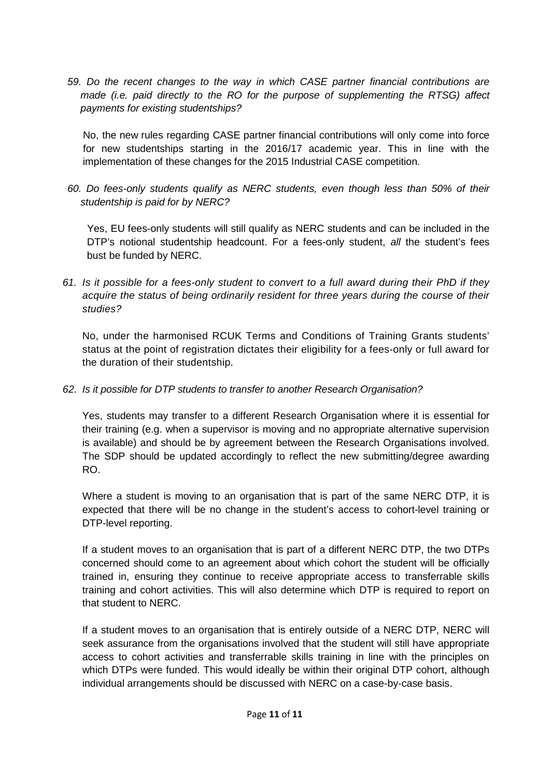*59. Do the recent changes to the way in which CASE partner financial contributions are made (i.e. paid directly to the RO for the purpose of supplementing the RTSG) affect payments for existing studentships?*

No, the new rules regarding CASE partner financial contributions will only come into force for new studentships starting in the 2016/17 academic year. This in line with the implementation of these changes for the 2015 Industrial CASE competition.

*60. Do fees-only students qualify as NERC students, even though less than 50% of their studentship is paid for by NERC?*

Yes, EU fees-only students will still qualify as NERC students and can be included in the DTP's notional studentship headcount. For a fees-only student, *all* the student's fees bust be funded by NERC.

*61. Is it possible for a fees-only student to convert to a full award during their PhD if they acquire the status of being ordinarily resident for three years during the course of their studies?*

No, under the harmonised RCUK Terms and Conditions of Training Grants students' status at the point of registration dictates their eligibility for a fees-only or full award for the duration of their studentship.

#### *62. Is it possible for DTP students to transfer to another Research Organisation?*

Yes, students may transfer to a different Research Organisation where it is essential for their training (e.g. when a supervisor is moving and no appropriate alternative supervision is available) and should be by agreement between the Research Organisations involved. The SDP should be updated accordingly to reflect the new submitting/degree awarding RO.

Where a student is moving to an organisation that is part of the same NERC DTP, it is expected that there will be no change in the student's access to cohort-level training or DTP-level reporting.

If a student moves to an organisation that is part of a different NERC DTP, the two DTPs concerned should come to an agreement about which cohort the student will be officially trained in, ensuring they continue to receive appropriate access to transferrable skills training and cohort activities. This will also determine which DTP is required to report on that student to NERC.

If a student moves to an organisation that is entirely outside of a NERC DTP, NERC will seek assurance from the organisations involved that the student will still have appropriate access to cohort activities and transferrable skills training in line with the principles on which DTPs were funded. This would ideally be within their original DTP cohort, although individual arrangements should be discussed with NERC on a case-by-case basis.